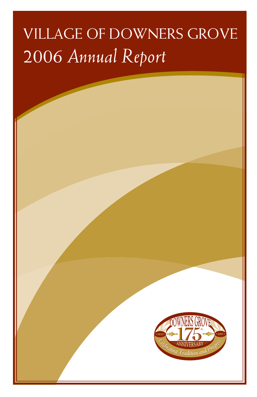# VILLAGE OF DOWNERS GROVE 2006 *Annual Report*

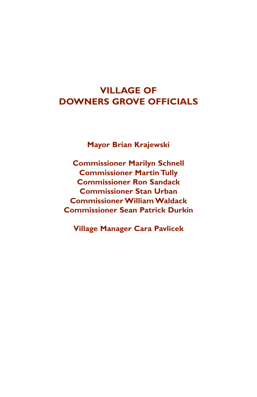### **VILLAGE OF DOWNERS GROVE OFFICIALS**

**Mayor Brian Krajewski**

**Commissioner Marilyn Schnell Commissioner Martin Tully Commissioner Ron Sandack Commissioner Stan Urban Commissioner William Waldack Commissioner Sean Patrick Durkin**

**Village Manager Cara Pavlicek**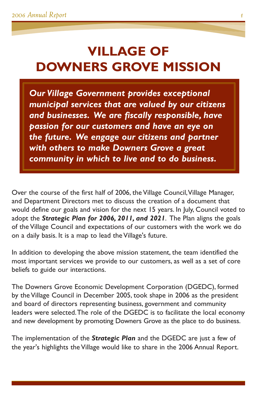# **VILLAGE OF DOWNERS GROVE MISSION**

*Our Village Government provides exceptional municipal services that are valued by our citizens and businesses. We are fiscally responsible, have passion for our customers and have an eye on the future. We engage our citizens and partner with others to make Downers Grove a great community in which to live and to do business.*

Over the course of the first half of 2006, the Village Council, Village Manager, and Department Directors met to discuss the creation of a document that would define our goals and vision for the next 15 years. In July, Council voted to adopt the *Strategic Plan for 2006, 2011, and 2021*. The Plan aligns the goals of the Village Council and expectations of our customers with the work we do on a daily basis. It is a map to lead the Village's future.

In addition to developing the above mission statement, the team identified the most important services we provide to our customers, as well as a set of core beliefs to guide our interactions.

The Downers Grove Economic Development Corporation (DGEDC), formed by the Village Council in December 2005, took shape in 2006 as the president and board of directors representing business, government and community leaders were selected.The role of the DGEDC is to facilitate the local economy and new development by promoting Downers Grove as the place to do business.

The implementation of the *Strategic Plan* and the DGEDC are just a few of the year's highlights the Village would like to share in the 2006 Annual Report.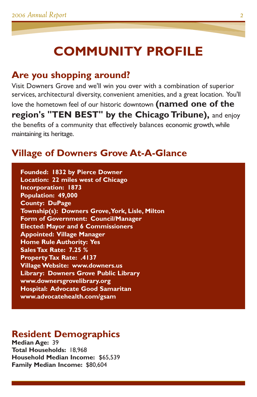# **COMMUNITY PROFILE**

### **Are you shopping around?**

Visit Downers Grove and we'll win you over with a combination of superior services, architectural diversity, convenient amenities, and a great location. You'll love the hometown feel of our historic downtown **(named one of the region's "TEN BEST" by the Chicago Tribune),** and enjoy the benefits of a community that effectively balances economic growth,while maintaining its heritage.

### **Village of Downers Grove At-A-Glance**

**Founded: 1832 by Pierce Downer Location: 22 miles west of Chicago Incorporation: 1873 Population: 49,000 County: DuPage Township(s): Downers Grove,York, Lisle, Milton Form of Government: Council/Manager Elected: Mayor and 6 Commissioners Appointed: Village Manager Home Rule Authority: Yes Sales Tax Rate: 7.25 % Property Tax Rate: .4137 Village Website: www.downers.us Library: Downers Grove Public Library www.downersgrovelibrary.org Hospital: Advocate Good Samaritan www.advocatehealth.com/gsam**

### **Resident Demographics**

**Median Age:** 39 **Total Households:** 18,968 **Household Median Income:** \$65,539 **Family Median Income:** \$80,604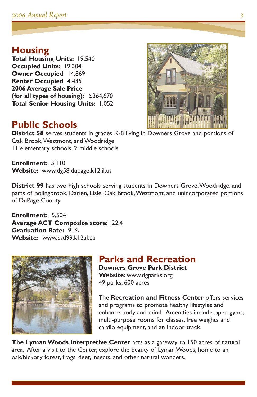### **Housing**

**Total Housing Units:** 19,540 **Occupied Units:** 19,304 **Owner Occupied** 14,869 **Renter Occupied** 4,435 **2006 Average Sale Price (for all types of housing):** \$364,670 **Total Senior Housing Units:** 1,052



### **Public Schools**

**District 58** serves students in grades K-8 living in Downers Grove and portions of Oak Brook,Westmont, and Woodridge. 11 elementary schools, 2 middle schools

**Enrollment:** 5,110 **Website:** www.dg58.dupage.k12.il.us

**District 99** has two high schools serving students in Downers Grove,Woodridge, and parts of Bolingbrook, Darien, Lisle, Oak Brook,Westmont, and unincorporated portions of DuPage County.

**Enrollment:** 5,504 **Average ACT Composite score:** 22.4 **Graduation Rate:** 91% **Website:** www.csd99.k12.il.us



#### **Parks and Recreation Downers Grove Park District**

**Website:** www.dgparks.org 49 parks, 600 acres

The **Recreation and Fitness Center** offers services and programs to promote healthy lifestyles and enhance body and mind. Amenities include open gyms, multi-purpose rooms for classes, free weights and cardio equipment, and an indoor track.

**The Lyman Woods Interpretive Center** acts as a gateway to 150 acres of natural area. After a visit to the Center, explore the beauty of Lyman Woods, home to an oak/hickory forest, frogs, deer, insects, and other natural wonders.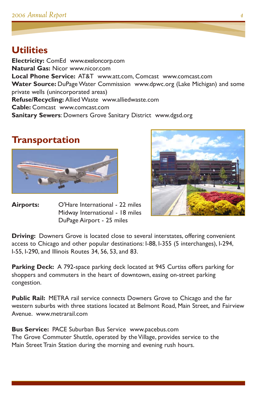### **Utilities**

**Electricity:** ComEd www.exeloncorp.com **Natural Gas:** Nicor www.nicor.com **Local Phone Service:** AT&T www.att.com, Comcast www.comcast.com **Water Source:** DuPage Water Commission www.dpwc.org (Lake Michigan) and some private wells (unincorporated areas) **Refuse/Recycling:** Allied Waste www.alliedwaste.com **Cable:** Comcast www.comcast.com **Sanitary Sewers**: Downers Grove Sanitary District www.dgsd.org

### **Transportation**



**Airports:** O'Hare International - 22 miles Midway International - 18 miles DuPage Airport - 25 miles



**Driving:** Downers Grove is located close to several interstates, offering convenient access to Chicago and other popular destinations: I-88, I-355 (5 interchanges), I-294, I-55, I-290, and Illinois Routes 34, 56, 53, and 83.

**Parking Deck:** A 792-space parking deck located at 945 Curtiss offers parking for shoppers and commuters in the heart of downtown, easing on-street parking congestion.

**Public Rail:** METRA rail service connects Downers Grove to Chicago and the far western suburbs with three stations located at Belmont Road, Main Street, and Fairview Avenue. www.metrarail.com

**Bus Service:** PACE Suburban Bus Service www.pacebus.com The Grove Commuter Shuttle, operated by the Village, provides service to the Main Street Train Station during the morning and evening rush hours.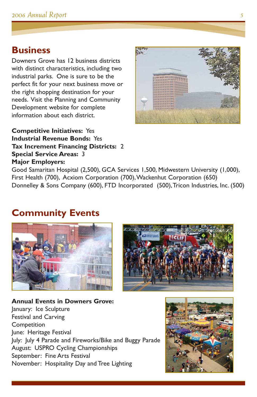#### **Business**

Downers Grove has 12 business districts with distinct characteristics, including two industrial parks. One is sure to be the perfect fit for your next business move or the right shopping destination for your needs. Visit the Planning and Community Development website for complete information about each district.

**Competitive Initiatives:** Yes



**Industrial Revenue Bonds:** Yes **Tax Increment Financing Districts:** 2 **Special Service Areas:** 3 **Major Employers:**

Good Samaritan Hospital (2,500), GCA Services 1,500, Midwestern University (1,000), First Health (700), Acxiom Corporation (700),Wackenhut Corporation (650) Donnelley & Sons Company (600), FTD Incorporated (500),Tricon Industries, Inc. (500)

### **Community Events**



**Annual Events in Downers Grove:** January: Ice Sculpture Festival and Carving **Competition** June: Heritage Festival July: July 4 Parade and Fireworks/Bike and Buggy Parade August: USPRO Cycling Championships September: Fine Arts Festival November: Hospitality Day and Tree Lighting

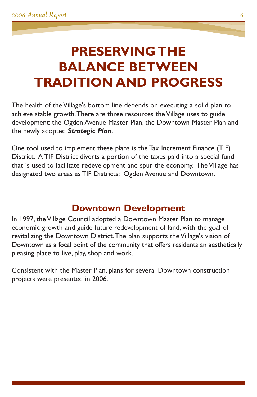# **PRESERVING THE BALANCE BETWEEN TRADITION AND PROGRESS**

The health of the Village's bottom line depends on executing a solid plan to achieve stable growth.There are three resources the Village uses to guide development; the Ogden Avenue Master Plan, the Downtown Master Plan and the newly adopted *Strategic Plan*.

One tool used to implement these plans is the Tax Increment Finance (TIF) District. A TIF District diverts a portion of the taxes paid into a special fund that is used to facilitate redevelopment and spur the economy. The Village has designated two areas as TIF Districts: Ogden Avenue and Downtown.

### **Downtown Development**

In 1997, the Village Council adopted a Downtown Master Plan to manage economic growth and guide future redevelopment of land, with the goal of revitalizing the Downtown District.The plan supports the Village's vision of Downtown as a focal point of the community that offers residents an aesthetically pleasing place to live, play, shop and work.

Consistent with the Master Plan, plans for several Downtown construction projects were presented in 2006.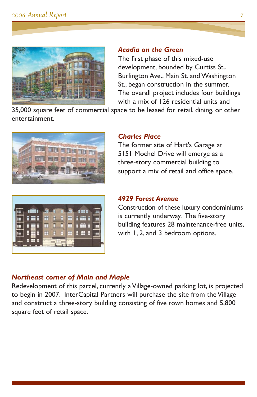

#### *Acadia on the Green*

The first phase of this mixed-use development, bounded by Curtiss St., Burlington Ave., Main St. and Washington St., began construction in the summer. The overall project includes four buildings with a mix of 126 residential units and

35,000 square feet of commercial space to be leased for retail, dining, or other entertainment.



#### *Charles Place*

The former site of Hart's Garage at 5151 Mochel Drive will emerge as a three-story commercial building to support a mix of retail and office space.

#### *4929 Forest Avenue*

Construction of these luxury condominiums is currently underway. The five-story building features 28 maintenance-free units, with 1, 2, and 3 bedroom options.

#### *Northeast corner of Main and Maple*

Redevelopment of this parcel, currently a Village-owned parking lot, is projected to begin in 2007. InterCapital Partners will purchase the site from the Village and construct a three-story building consisting of five town homes and 5,800 square feet of retail space.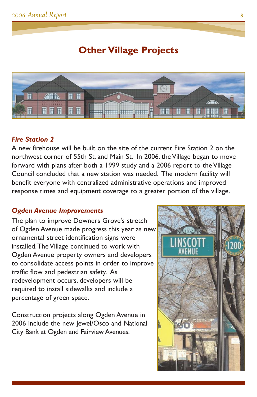### **Other Village Projects**



#### *Fire Station 2*

A new firehouse will be built on the site of the current Fire Station 2 on the northwest corner of 55th St. and Main St. In 2006, the Village began to move forward with plans after both a 1999 study and a 2006 report to the Village Council concluded that a new station was needed. The modern facility will benefit everyone with centralized administrative operations and improved response times and equipment coverage to a greater portion of the village.

#### *Ogden Avenue Improvements*

The plan to improve Downers Grove's stretch of Ogden Avenue made progress this year as new ornamental street identification signs were installed.The Village continued to work with Ogden Avenue property owners and developers to consolidate access points in order to improve traffic flow and pedestrian safety. As redevelopment occurs, developers will be required to install sidewalks and include a percentage of green space.

Construction projects along Ogden Avenue in 2006 include the new Jewel/Osco and National City Bank at Ogden and Fairview Avenues.

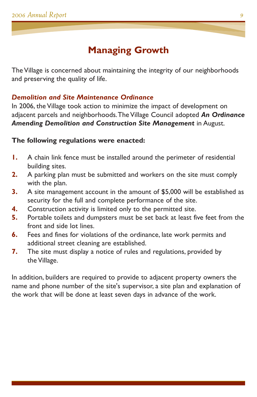### **Managing Growth**

The Village is concerned about maintaining the integrity of our neighborhoods and preserving the quality of life.

#### *Demolition and Site Maintenance Ordinance*

In 2006, the Village took action to minimize the impact of development on adjacent parcels and neighborhoods.The Village Council adopted *An Ordinance* **Amending Demolition and Construction Site Management** in August.

#### **The following regulations were enacted:**

- **1.** A chain link fence must be installed around the perimeter of residential building sites.
- **2.** A parking plan must be submitted and workers on the site must comply with the plan.
- **3.** A site management account in the amount of \$5,000 will be established as security for the full and complete performance of the site.
- **4.** Construction activity is limited only to the permitted site.
- **5.** Portable toilets and dumpsters must be set back at least five feet from the front and side lot lines.
- **6.** Fees and fines for violations of the ordinance, late work permits and additional street cleaning are established.
- **7.** The site must display a notice of rules and regulations, provided by the Village.

In addition, builders are required to provide to adjacent property owners the name and phone number of the site's supervisor, a site plan and explanation of the work that will be done at least seven days in advance of the work.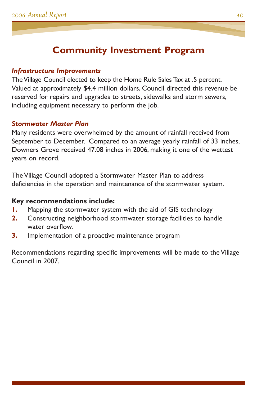### **Community Investment Program**

#### *Infrastructure Improvements*

The Village Council elected to keep the Home Rule Sales Tax at .5 percent. Valued at approximately \$4.4 million dollars, Council directed this revenue be reserved for repairs and upgrades to streets, sidewalks and storm sewers, including equipment necessary to perform the job.

#### *Stormwater Master Plan*

Many residents were overwhelmed by the amount of rainfall received from September to December. Compared to an average yearly rainfall of 33 inches, Downers Grove received 47.08 inches in 2006, making it one of the wettest years on record.

The Village Council adopted a Stormwater Master Plan to address deficiencies in the operation and maintenance of the stormwater system.

#### **Key recommendations include:**

- **1.** Mapping the stormwater system with the aid of GIS technology
- **2.** Constructing neighborhood stormwater storage facilities to handle water overflow.
- **3.** Implementation of a proactive maintenance program

Recommendations regarding specific improvements will be made to the Village Council in 2007.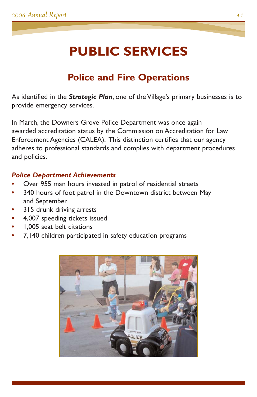# **PUBLIC SERVICES**

### **Police and Fire Operations**

As identified in the *Strategic Plan*, one of the Village's primary businesses is to provide emergency services.

In March, the Downers Grove Police Department was once again awarded accreditation status by the Commission on Accreditation for Law Enforcement Agencies (CALEA). This distinction certifies that our agency adheres to professional standards and complies with department procedures and policies.

#### *Police Department Achievements*

- **•** Over 955 man hours invested in patrol of residential streets
- **•** 340 hours of foot patrol in the Downtown district between May and September
- **•** 315 drunk driving arrests
- **•** 4,007 speeding tickets issued
- **•** 1,005 seat belt citations
- **•** 7,140 children participated in safety education programs

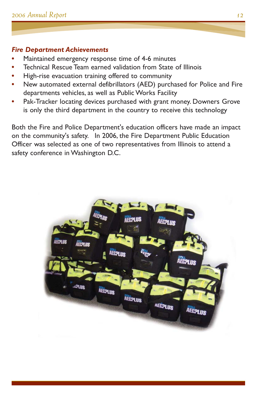#### *Fire Department Achievements*

- **•** Maintained emergency response time of 4-6 minutes
- **•** Technical Rescue Team earned validation from State of Illinois
- **•** High-rise evacuation training offered to community
- **•** New automated external defibrillators (AED) purchased for Police and Fire departments vehicles, as well as Public Works Facility
- **•** Pak-Tracker locating devices purchased with grant money. Downers Grove is only the third department in the country to receive this technology

Both the Fire and Police Department's education officers have made an impact on the community's safety. In 2006, the Fire Department Public Education Officer was selected as one of two representatives from Illinois to attend a safety conference in Washington D.C.

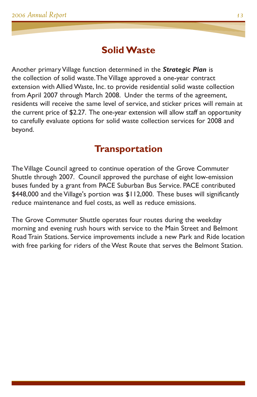### **Solid Waste**

Another primary Village function determined in the *Strategic Plan* is the collection of solid waste.The Village approved a one-year contract extension with Allied Waste, Inc. to provide residential solid waste collection from April 2007 through March 2008. Under the terms of the agreement, residents will receive the same level of service, and sticker prices will remain at the current price of \$2.27. The one-year extension will allow staff an opportunity to carefully evaluate options for solid waste collection services for 2008 and beyond.

### **Transportation**

The Village Council agreed to continue operation of the Grove Commuter Shuttle through 2007. Council approved the purchase of eight low-emission buses funded by a grant from PACE Suburban Bus Service. PACE contributed \$448,000 and the Village's portion was \$112,000. These buses will significantly reduce maintenance and fuel costs, as well as reduce emissions.

The Grove Commuter Shuttle operates four routes during the weekday morning and evening rush hours with service to the Main Street and Belmont Road Train Stations. Service improvements include a new Park and Ride location with free parking for riders of the West Route that serves the Belmont Station.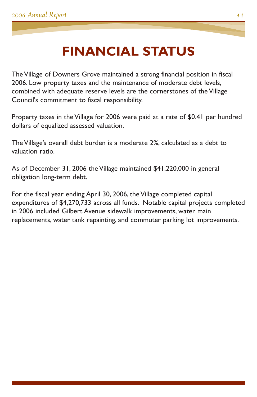## **FINANCIAL STATUS**

The Village of Downers Grove maintained a strong financial position in fiscal 2006. Low property taxes and the maintenance of moderate debt levels, combined with adequate reserve levels are the cornerstones of the Village Council's commitment to fiscal responsibility.

Property taxes in the Village for 2006 were paid at a rate of \$0.41 per hundred dollars of equalized assessed valuation.

The Village's overall debt burden is a moderate 2%, calculated as a debt to valuation ratio.

As of December 31, 2006 the Village maintained \$41,220,000 in general obligation long-term debt.

For the fiscal year ending April 30, 2006, the Village completed capital expenditures of \$4,270,733 across all funds. Notable capital projects completed in 2006 included Gilbert Avenue sidewalk improvements, water main replacements, water tank repainting, and commuter parking lot improvements.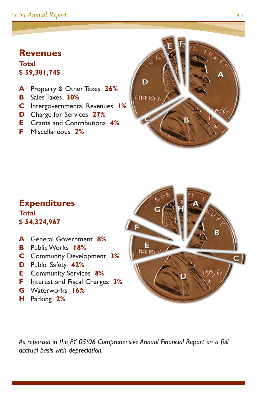#### *2006 Annual Report 15*

#### **Revenues Total \$ 59,381,745**

- **A** Property & Other Taxes **36%**
- **B** Sales Taxes **30%**
- **C** Intergovernmental Revenues **1%**
- **D** Charge for Services **27%**
- **E** Grants and Contributions **4%**
- **F** Miscellaneous **2%**



#### **Expenditures Total \$ 54,324,967**

- **A** General Government **8%**
- **B** Public Works **18%**
- **C** Community Development **3%**
- **D** Public Safety **42%**
- **E** Community Services **8%**
- **F** Interest and Fiscal Charges **3%**
- **G** Waterworks **16%**
- **H** Parking **2%**



*As reported in the FY 05/06 Comprehensive Annual Financial Report on a full accrual basis with depreciation.*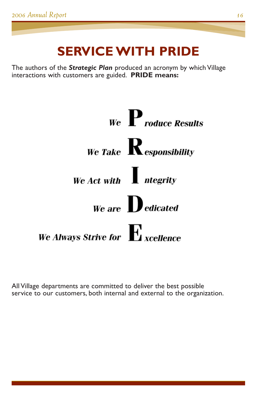# **SERVICE WITH PRIDE**

The authors of the *Strategic Plan* produced an acronym by which Village interactions with customers are guided. **PRIDE means:**



All Village departments are committed to deliver the best possible service to our customers, both internal and external to the organization.